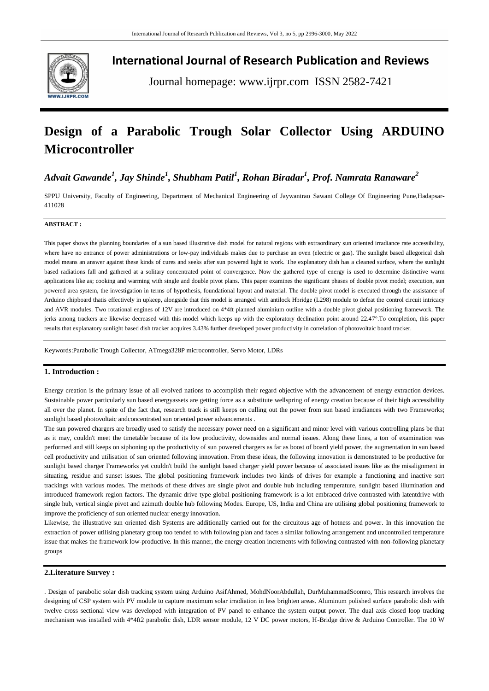

**International Journal of Research Publication and Reviews**

Journal homepage: www.ijrpr.com ISSN 2582-7421

# **Design of a Parabolic Trough Solar Collector Using ARDUINO Microcontroller**

## *Advait Gawande<sup>1</sup> , Jay Shinde<sup>1</sup> , Shubham Patil<sup>1</sup> , Rohan Biradar<sup>1</sup> , Prof. Namrata Ranaware<sup>2</sup>*

SPPU University, Faculty of Engineering, Department of Mechanical Engineering of Jaywantrao Sawant College Of Engineering Pune,Hadapsar-411028

#### **ABSTRACT :**

This paper shows the planning boundaries of a sun based illustrative dish model for natural regions with extraordinary sun oriented irradiance rate accessibility, where have no entrance of power administrations or low-pay individuals makes due to purchase an oven (electric or gas). The sunlight based allegorical dish model means an answer against these kinds of cures and seeks after sun powered light to work. The explanatory dish has a cleaned surface, where the sunlight based radiations fall and gathered at a solitary concentrated point of convergence. Now the gathered type of energy is used to determine distinctive warm applications like as; cooking and warming with single and double pivot plans. This paper examines the significant phases of double pivot model; execution, sun powered area system, the investigation in terms of hypothesis, foundational layout and material. The double pivot model is executed through the assistance of Arduino chipboard thatis effectively in upkeep, alongside that this model is arranged with antilock Hbridge (L298) module to defeat the control circuit intricacy and AVR modules. Two rotational engines of 12V are introduced on 4\*4ft planned aluminium outline with a double pivot global positioning framework. The jerks among trackers are likewise decreased with this model which keeps up with the exploratory declination point around 22.47°.To completion, this paper results that explanatory sunlight based dish tracker acquires 3.43% further developed power productivity in correlation of photovoltaic board tracker.

Keywords:Parabolic Trough Collector, ATmega328P microcontroller, Servo Motor, LDRs

#### **1. Introduction :**

Energy creation is the primary issue of all evolved nations to accomplish their regard objective with the advancement of energy extraction devices. Sustainable power particularly sun based energyassets are getting force as a substitute wellspring of energy creation because of their high accessibility all over the planet. In spite of the fact that, research track is still keeps on culling out the power from sun based irradiances with two Frameworks; sunlight based photovoltaic andconcentrated sun oriented power advancements .

The sun powered chargers are broadly used to satisfy the necessary power need on a significant and minor level with various controlling plans be that as it may, couldn't meet the timetable because of its low productivity, downsides and normal issues. Along these lines, a ton of examination was performed and still keeps on siphoning up the productivity of sun powered chargers as far as boost of board yield power, the augmentation in sun based cell productivity and utilisation of sun oriented following innovation. From these ideas, the following innovation is demonstrated to be productive for sunlight based charger Frameworks yet couldn't build the sunlight based charger yield power because of associated issues like as the misalignment in situating, residue and sunset issues. The global positioning framework includes two kinds of drives for example a functioning and inactive sort trackings with various modes. The methods of these drives are single pivot and double hub including temperature, sunlight based illumination and introduced framework region factors. The dynamic drive type global positioning framework is a lot embraced drive contrasted with latentdrive with single hub, vertical single pivot and azimuth double hub following Modes. Europe, US, India and China are utilising global positioning framework to improve the proficiency of sun oriented nuclear energy innovation.

Likewise, the illustrative sun oriented dish Systems are additionally carried out for the circuitous age of hotness and power. In this innovation the extraction of power utilising planetary group too tended to with following plan and faces a similar following arrangement and uncontrolled temperature issue that makes the framework low-productive. In this manner, the energy creation increments with following contrasted with non-following planetary groups

#### **2.Literature Survey :**

. Design of parabolic solar dish tracking system using Arduino AsifAhmed, MohdNoorAbdullah, DurMuhammadSoomro, This research involves the designing of CSP system with PV module to capture maximum solar irradiation in less brighten areas. Aluminum polished surface parabolic dish with twelve cross sectional view was developed with integration of PV panel to enhance the system output power. The dual axis closed loop tracking mechanism was installed with 4\*4ft2 parabolic dish, LDR sensor module, 12 V DC power motors, H-Bridge drive & Arduino Controller. The 10 W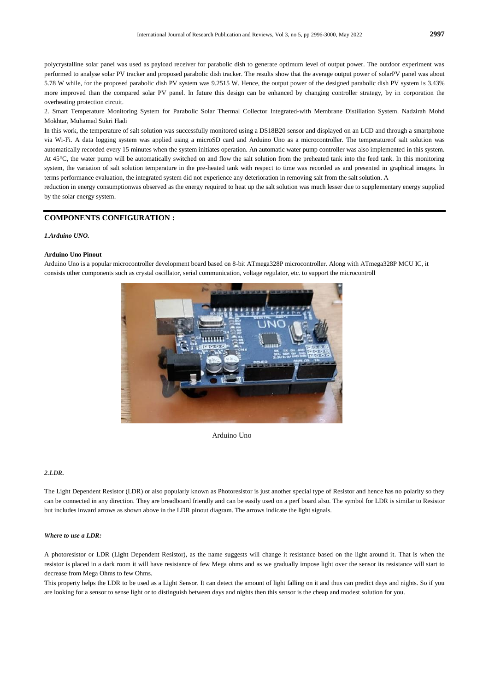polycrystalline solar panel was used as payload receiver for parabolic dish to generate optimum level of output power. The outdoor experiment was performed to analyse solar PV tracker and proposed parabolic dish tracker. The results show that the average output power of solarPV panel was about 5.78 W while, for the proposed parabolic dish PV system was 9.2515 W. Hence, the output power of the designed parabolic dish PV system is 3.43% more improved than the compared solar PV panel. In future this design can be enhanced by changing controller strategy, by in corporation the overheating protection circuit.

2. Smart Temperature Monitoring System for Parabolic Solar Thermal Collector Integrated-with Membrane Distillation System. Nadzirah Mohd Mokhtar, Muhamad Sukri Hadi

In this work, the temperature of salt solution was successfully monitored using a DS18B20 sensor and displayed on an LCD and through a smartphone via Wi-Fi. A data logging system was applied using a microSD card and Arduino Uno as a microcontroller. The temperatureof salt solution was automatically recorded every 15 minutes when the system initiates operation. An automatic water pump controller was also implemented in this system. At 45°C, the water pump will be automatically switched on and flow the salt solution from the preheated tank into the feed tank. In this monitoring system, the variation of salt solution temperature in the pre-heated tank with respect to time was recorded as and presented in graphical images. In terms performance evaluation, the integrated system did not experience any deterioration in removing salt from the salt solution. A

reduction in energy consumptionwas observed as the energy required to heat up the salt solution was much lesser due to supplementary energy supplied by the solar energy system.

#### **COMPONENTS CONFIGURATION :**

#### *1.Arduino UNO.*

#### **Arduino Uno Pinout**

Arduino Uno is a popular microcontroller development board based on 8-bit ATmega328P microcontroller. Along with ATmega328P MCU IC, it consists other components such as crystal oscillator, serial communication, voltage regulator, etc. to support the microcontroll



Arduino Uno

#### *2.LDR.*

The Light Dependent Resistor (LDR) or also popularly known as Photoresistor is just another special type of Resistor and hence has no polarity so they can be connected in any direction. They are breadboard friendly and can be easily used on a perf board also. The symbol for LDR is similar to Resistor but includes inward arrows as shown above in the LDR pinout diagram. The arrows indicate the light signals.

#### *Where to use a LDR:*

A photoresistor or LDR (Light Dependent Resistor), as the name suggests will change it resistance based on the light around it. That is when the resistor is placed in a dark room it will have resistance of few Mega ohms and as we gradually impose light over the sensor its resistance will start to decrease from Mega Ohms to few Ohms.

This property helps the LDR to be used as a Light Sensor. It can detect the amount of light falling on it and thus can predict days and nights. So if you are looking for a sensor to sense light or to distinguish between days and nights then this sensor is the cheap and modest solution for you.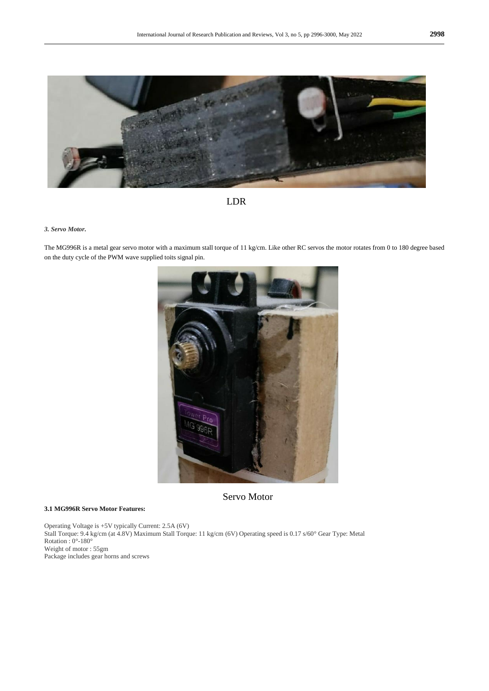



#### *3. Servo Motor.*

The MG996R is a metal gear servo motor with a maximum stall torque of 11 kg/cm. Like other RC servos the motor rotates from 0 to 180 degree based on the duty cycle of the PWM wave supplied toits signal pin.



Servo Motor

#### **3.1 MG996R Servo Motor Features:**

Operating Voltage is +5V typically Current: 2.5A (6V) Stall Torque: 9.4 kg/cm (at 4.8V) Maximum Stall Torque: 11 kg/cm (6V) Operating speed is 0.17 s/60° Gear Type: Metal Rotation : 0°-180° Weight of motor : 55gm Package includes gear horns and screws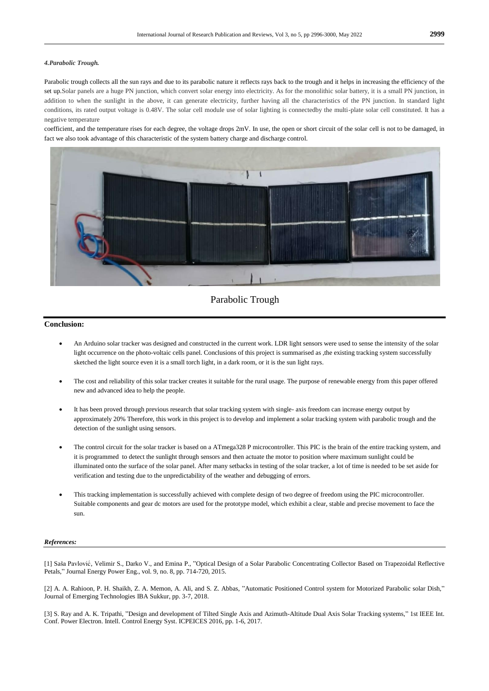#### *4.Parabolic Trough.*

Parabolic trough collects all the sun rays and due to its parabolic nature it reflects rays back to the trough and it helps in increasing the efficiency of the set up.Solar panels are a huge PN junction, which convert solar energy into electricity. As for the monolithic solar battery, it is a small PN junction, in addition to when the sunlight in the above, it can generate electricity, further having all the characteristics of the PN junction. In standard light conditions, its rated output voltage is 0.48V. The solar cell module use of solar lighting is connectedby the multi-plate solar cell constituted. It has a negative temperature

coefficient, and the temperature rises for each degree, the voltage drops 2mV. In use, the open or short circuit of the solar cell is not to be damaged, in fact we also took advantage of this characteristic of the system battery charge and discharge control.



### Parabolic Trough

#### **Conclusion:**

- An Arduino solar tracker was designed and constructed in the current work. LDR light sensors were used to sense the intensity of the solar light occurrence on the photo-voltaic cells panel. Conclusions of this project is summarised as ,the existing tracking system successfully sketched the light source even it is a small torch light, in a dark room, or it is the sun light rays.
- The cost and reliability of this solar tracker creates it suitable for the rural usage. The purpose of renewable energy from this paper offered new and advanced idea to help the people.
- It has been proved through previous research that solar tracking system with single- axis freedom can increase energy output by approximately 20% Therefore, this work in this project is to develop and implement a solar tracking system with parabolic trough and the detection of the sunlight using sensors.
- The control circuit for the solar tracker is based on a ATmega328 P microcontroller. This PIC is the brain of the entire tracking system, and it is programmed to detect the sunlight through sensors and then actuate the motor to position where maximum sunlight could be illuminated onto the surface of the solar panel. After many setbacks in testing of the solar tracker, a lot of time is needed to be set aside for verification and testing due to the unpredictability of the weather and debugging of errors.
- This tracking implementation is successfully achieved with complete design of two degree of freedom using the PIC microcontroller. Suitable components and gear dc motors are used for the prototype model, which exhibit a clear, stable and precise movement to face the sun.

#### *References:*

[1] Saša Pavlović , Velimir S., Darko V., and Emina P., "Optical Design of a Solar Parabolic Concentrating Collector Based on Trapezoidal Reflective Petals," Journal Energy Power Eng., vol. 9, no. 8, pp. 714-720, 2015.

[2] A. A. Rahioon, P. H. Shaikh, Z. A. Memon, A. Ali, and S. Z. Abbas, "Automatic Positioned Control system for Motorized Parabolic solar Dish," Journal of Emerging Technologies IBA Sukkur, pp. 3-7, 2018.

[3] S. Ray and A. K. Tripathi, "Design and development of Tilted Single Axis and Azimuth-Altitude Dual Axis Solar Tracking systems," 1st IEEE Int. Conf. Power Electron. Intell. Control Energy Syst. ICPEICES 2016, pp. 1-6, 2017.